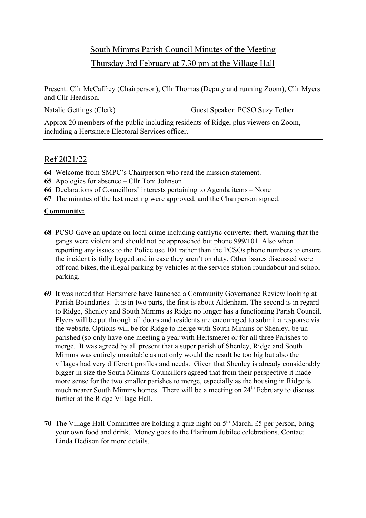# South Mimms Parish Council Minutes of the Meeting

# Thursday 3rd February at 7.30 pm at the Village Hall

Present: Cllr McCaffrey (Chairperson), Cllr Thomas (Deputy and running Zoom), Cllr Myers and Cllr Headison.

Natalie Gettings (Clerk) Guest Speaker: PCSO Suzy Tether

Approx 20 members of the public including residents of Ridge, plus viewers on Zoom, including a Hertsmere Electoral Services officer.

### Ref 2021/22

- **64** Welcome from SMPC's Chairperson who read the mission statement.
- **65** Apologies for absence Cllr Toni Johnson
- **66** Declarations of Councillors' interests pertaining to Agenda items None
- **67** The minutes of the last meeting were approved, and the Chairperson signed.

#### **Community:**

- **68** PCSO Gave an update on local crime including catalytic converter theft, warning that the gangs were violent and should not be approached but phone 999/101. Also when reporting any issues to the Police use 101 rather than the PCSOs phone numbers to ensure the incident is fully logged and in case they aren't on duty. Other issues discussed were off road bikes, the illegal parking by vehicles at the service station roundabout and school parking.
- **69** It was noted that Hertsmere have launched a Community Governance Review looking at Parish Boundaries. It is in two parts, the first is about Aldenham. The second is in regard to Ridge, Shenley and South Mimms as Ridge no longer has a functioning Parish Council. Flyers will be put through all doors and residents are encouraged to submit a response via the website. Options will be for Ridge to merge with South Mimms or Shenley, be unparished (so only have one meeting a year with Hertsmere) or for all three Parishes to merge. It was agreed by all present that a super parish of Shenley, Ridge and South Mimms was entirely unsuitable as not only would the result be too big but also the villages had very different profiles and needs. Given that Shenley is already considerably bigger in size the South Mimms Councillors agreed that from their perspective it made more sense for the two smaller parishes to merge, especially as the housing in Ridge is much nearer South Mimms homes. There will be a meeting on 24th February to discuss further at the Ridge Village Hall.
- **70** The Village Hall Committee are holding a quiz night on 5th March. £5 per person, bring your own food and drink. Money goes to the Platinum Jubilee celebrations, Contact Linda Hedison for more details.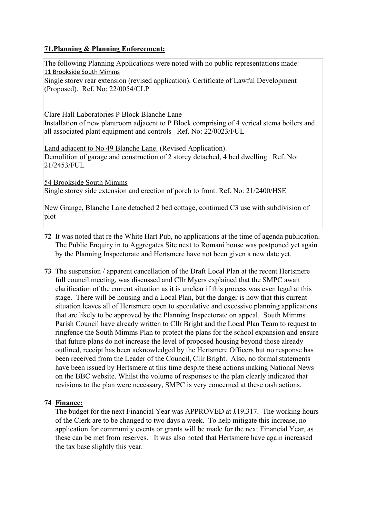#### **71.Planning & Planning Enforcement:**

The following Planning Applications were noted with no public representations made: 11 Brookside South Mimms

[Single storey rear extension \(revised application\). Certificate of Lawful Development](https://www6.hertsmere.gov.uk/online-applications/applicationDetails.do?keyVal=R5L7USIFJ7Y00&activeTab=summary)  [\(Proposed\).](https://www6.hertsmere.gov.uk/online-applications/applicationDetails.do?keyVal=R5L7USIFJ7Y00&activeTab=summary) Ref. No: 22/0054/CLP

Clare Hall Laboratories P Block Blanche Lane

Installation of new plantroom adjacent to P Block comprising of 4 verical stema boilers and all associated plant equipment and controls Ref. No: 22/0023/FUL

Land adjacent to No 49 Blanche Lane. (Revised Application). Demolition of garage and construction of 2 storey detached, 4 bed dwelling Ref. No: 21/2453/FUL

54 Brookside South Mimms Single storey side extension and erection of porch to front. Ref. No: 21/2400/HSE

New Grange, Blanche Lane detached 2 bed cottage, continued C3 use with subdivision of plot

- **72** It was noted that re the White Hart Pub, no applications at the time of agenda publication. The Public Enquiry in to Aggregates Site next to Romani house was postponed yet again by the Planning Inspectorate and Hertsmere have not been given a new date yet.
- **73** The suspension / apparent cancellation of the Draft Local Plan at the recent Hertsmere full council meeting, was discussed and Cllr Myers explained that the SMPC await clarification of the current situation as it is unclear if this process was even legal at this stage. There will be housing and a Local Plan, but the danger is now that this current situation leaves all of Hertsmere open to speculative and excessive planning applications that are likely to be approved by the Planning Inspectorate on appeal. South Mimms Parish Council have already written to Cllr Bright and the Local Plan Team to request to ringfence the South Mimms Plan to protect the plans for the school expansion and ensure that future plans do not increase the level of proposed housing beyond those already outlined, receipt has been acknowledged by the Hertsmere Officers but no response has been received from the Leader of the Council, Cllr Bright. Also, no formal statements have been issued by Hertsmere at this time despite these actions making National News on the BBC website. Whilst the volume of responses to the plan clearly indicated that revisions to the plan were necessary, SMPC is very concerned at these rash actions.

#### **74 Finance:**

The budget for the next Financial Year was APPROVED at £19,317. The working hours of the Clerk are to be changed to two days a week. To help mitigate this increase, no application for community events or grants will be made for the next Financial Year, as these can be met from reserves. It was also noted that Hertsmere have again increased the tax base slightly this year.